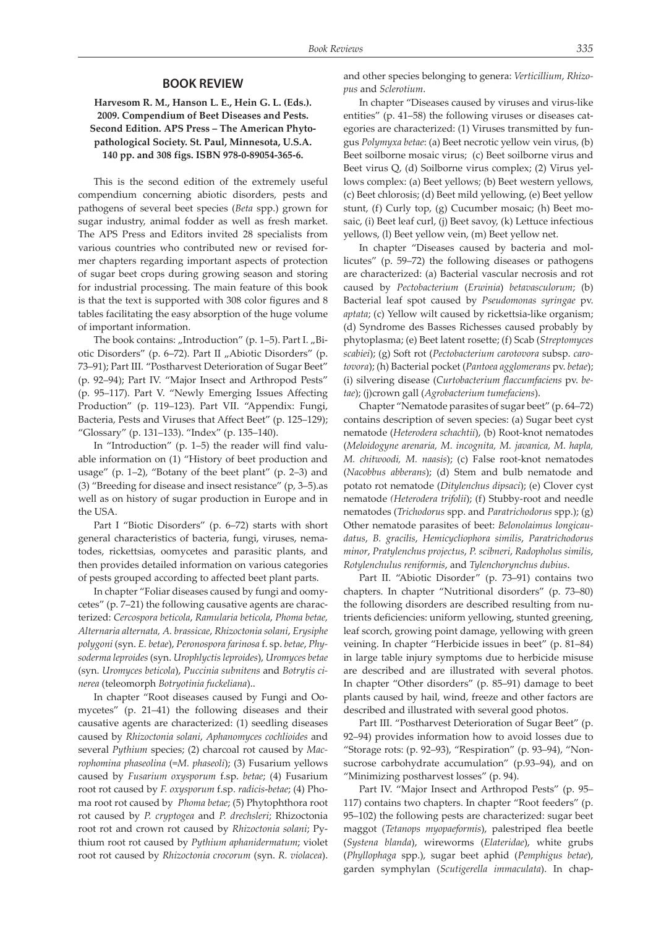## **BOOK REVIEW**

## **Harvesom R. M., Hanson L. E., Hein G. L. (Eds.). 2009. Compendium of Beet Diseases and Pests. Second Edition. APS Press – The American Phytopathological Society. St. Paul, Minnesota, U.S.A. 140 pp. and 308 figs. ISBN 978-0-89054-365-6.**

This is the second edition of the extremely useful compendium concerning abiotic disorders, pests and pathogens of several beet species (*Beta* spp.) grown for sugar industry, animal fodder as well as fresh market. The APS Press and Editors invited 28 specialists from various countries who contributed new or revised former chapters regarding important aspects of protection of sugar beet crops during growing season and storing for industrial processing. The main feature of this book is that the text is supported with 308 color figures and 8 tables facilitating the easy absorption of the huge volume of important information.

The book contains: "Introduction" (p. 1-5). Part I. "Biotic Disorders" (p. 6–72). Part II "Abiotic Disorders" (p. 73–91); Part III. "Postharvest Deterioration of Sugar Beet" (p. 92–94); Part IV. "Major Insect and Arthropod Pests" (p. 95–117). Part V. "Newly Emerging Issues Affecting Production" (p. 119–123). Part VII. "Appendix: Fungi, Bacteria, Pests and Viruses that Affect Beet" (p. 125–129); "Glossary" (p. 131–133). "Index" (p. 135–140).

In "Introduction" (p. 1–5) the reader will find valuable information on (1) "History of beet production and usage" (p. 1–2), "Botany of the beet plant" (p. 2–3) and (3) "Breeding for disease and insect resistance" (p, 3–5).as well as on history of sugar production in Europe and in the USA.

Part I "Biotic Disorders" (p. 6–72) starts with short general characteristics of bacteria, fungi, viruses, nematodes, rickettsias, oomycetes and parasitic plants, and then provides detailed information on various categories of pests grouped according to affected beet plant parts.

In chapter "Foliar diseases caused by fungi and oomycetes" (p. 7–21) the following causative agents are characterized: *Cercospora beticola*, *Ramularia beticola*, *Phoma betae, Alternaria alternata, A. brassicae*, *Rhizoctonia solani*, *Erysiphe polygoni* (syn. *E. betae*), *Peronospora farinosa* f. sp. *betae*, *Physoderma leproides* (syn. *Urophlyctis leproides*), *Uromyces betae* (syn. *Uromyces beticola*), *Puccinia subnitens* and *Botrytis cinerea* (teleomorph *Botryotinia fuckeliana*)..

In chapter "Root diseases caused by Fungi and Oomycetes" (p. 21–41) the following diseases and their causative agents are characterized: (1) seedling diseases caused by *Rhizoctonia solani*, *Aphanomyces cochlioides* and several *Pythium* species; (2) charcoal rot caused by *Macrophomina phaseolina* (=*M. phaseoli*); (3) Fusarium yellows caused by *Fusarium oxysporum* f.sp. *betae*; (4) Fusarium root rot caused by *F. oxysporum* f.sp. *radicis*-*betae*; (4) Phoma root rot caused by *Phoma betae*; (5) Phytophthora root rot caused by *P. cryptogea* and *P. drechsleri*; Rhizoctonia root rot and crown rot caused by *Rhizoctonia solani*; Pythium root rot caused by *Pythium aphanidermatum*; violet root rot caused by *Rhizoctonia crocorum* (syn. *R. violacea*).

and other species belonging to genera: *Verticillium*, *Rhizopus* and *Sclerotium*.

In chapter "Diseases caused by viruses and virus-like entities" (p. 41–58) the following viruses or diseases categories are characterized: (1) Viruses transmitted by fungus *Polymyxa betae*: (a) Beet necrotic yellow vein virus, (b) Beet soilborne mosaic virus; (c) Beet soilborne virus and Beet virus Q, (d) Soilborne virus complex; (2) Virus yellows complex: (a) Beet yellows; (b) Beet western yellows, (c) Beet chlorosis; (d) Beet mild yellowing, (e) Beet yellow stunt, (f) Curly top, (g) Cucumber mosaic; (h) Beet mosaic, (i) Beet leaf curl, (j) Beet savoy, (k) Lettuce infectious yellows, (l) Beet yellow vein, (m) Beet yellow net.

In chapter "Diseases caused by bacteria and mollicutes" (p. 59–72) the following diseases or pathogens are characterized: (a) Bacterial vascular necrosis and rot caused by *Pectobacterium* (*Erwinia*) *betavasculorum*; (b) Bacterial leaf spot caused by *Pseudomonas syringae* pv. *aptata*; (c) Yellow wilt caused by rickettsia-like organism; (d) Syndrome des Basses Richesses caused probably by phytoplasma; (e) Beet latent rosette; (f) Scab (*Streptomyces scabiei*); (g) Soft rot (*Pectobacterium carotovora* subsp. *carotovora*); (h) Bacterial pocket (*Pantoea agglomerans* pv. *betae*); (i) silvering disease (*Curtobacterium flaccumfaciens* pv. *betae*); (j)crown gall (*Agrobacterium tumefaciens*).

Chapter "Nematode parasites of sugar beet" (p. 64–72) contains description of seven species: (a) Sugar beet cyst nematode (*Heterodera schachtii*), (b) Root-knot nematodes (*Meloidogyne arenaria, M. incognita, M. javanica, M. hapla, M. chitwoodi, M. naasis*); (c) False root-knot nematodes (*Nacobbus abberans*); (d) Stem and bulb nematode and potato rot nematode (*Ditylenchus dipsaci*); (e) Clover cyst nematode *(Heterodera trifolii*); (f) Stubby-root and needle nematodes (*Trichodorus* spp. and *Paratrichodorus* spp.); (g) Other nematode parasites of beet: *Belonolaimus longicaudatus*, *B. gracilis*, *Hemicycliophora similis*, *Paratrichodorus minor*, *Pratylenchus projectus*, *P. scibneri*, *Radopholus similis*, *Rotylenchulus reniformis*, and *Tylenchorynchus dubius*.

Part II. "Abiotic Disorder" (p. 73–91) contains two chapters. In chapter "Nutritional disorders" (p. 73–80) the following disorders are described resulting from nutrients deficiencies: uniform yellowing, stunted greening, leaf scorch, growing point damage, yellowing with green veining. In chapter "Herbicide issues in beet" (p. 81–84) in large table injury symptoms due to herbicide misuse are described and are illustrated with several photos. In chapter "Other disorders" (p. 85–91) damage to beet plants caused by hail, wind, freeze and other factors are described and illustrated with several good photos.

Part III. "Postharvest Deterioration of Sugar Beet" (p. 92–94) provides information how to avoid losses due to "Storage rots: (p. 92–93), "Respiration" (p. 93–94), "Nonsucrose carbohydrate accumulation" (p.93–94), and on "Minimizing postharvest losses" (p. 94).

Part IV. "Major Insect and Arthropod Pests" (p. 95– 117) contains two chapters. In chapter "Root feeders" (p. 95–102) the following pests are characterized: sugar beet maggot (*Tetanops myopaeformis*), palestriped flea beetle (*Systena blanda*), wireworms (*Elateridae*), white grubs (*Phyllophaga* spp.), sugar beet aphid (*Pemphigus betae*), garden symphylan (*Scutigerella immaculata*). In chap-